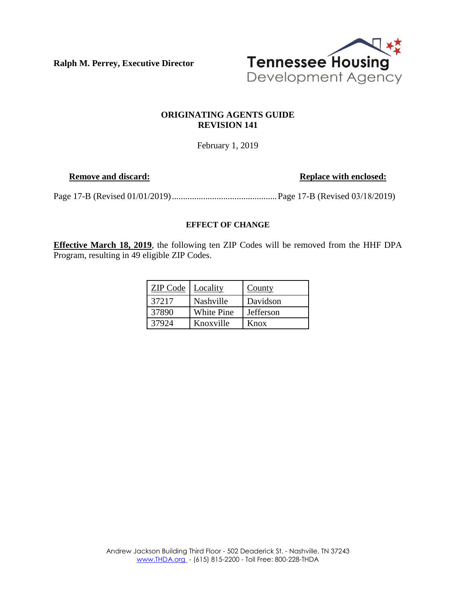**Ralph M. Perrey, Executive Director**



## **ORIGINATING AGENTS GUIDE REVISION 141**

February 1, 2019

**Remove and discard: Replace with enclosed: Replace with enclosed:** 

Page 17-B (Revised 01/01/2019) ............................................... Page 17-B (Revised 03/18/2019)

#### **EFFECT OF CHANGE**

**Effective March 18, 2019**, the following ten ZIP Codes will be removed from the HHF DPA Program, resulting in 49 eligible ZIP Codes.

| <b>ZIP Code</b>   Locality |                   | County    |
|----------------------------|-------------------|-----------|
| 37217                      | Nashville         | Davidson  |
| 37890                      | <b>White Pine</b> | Jefferson |
| 37924                      | Knoxville         | Knox      |